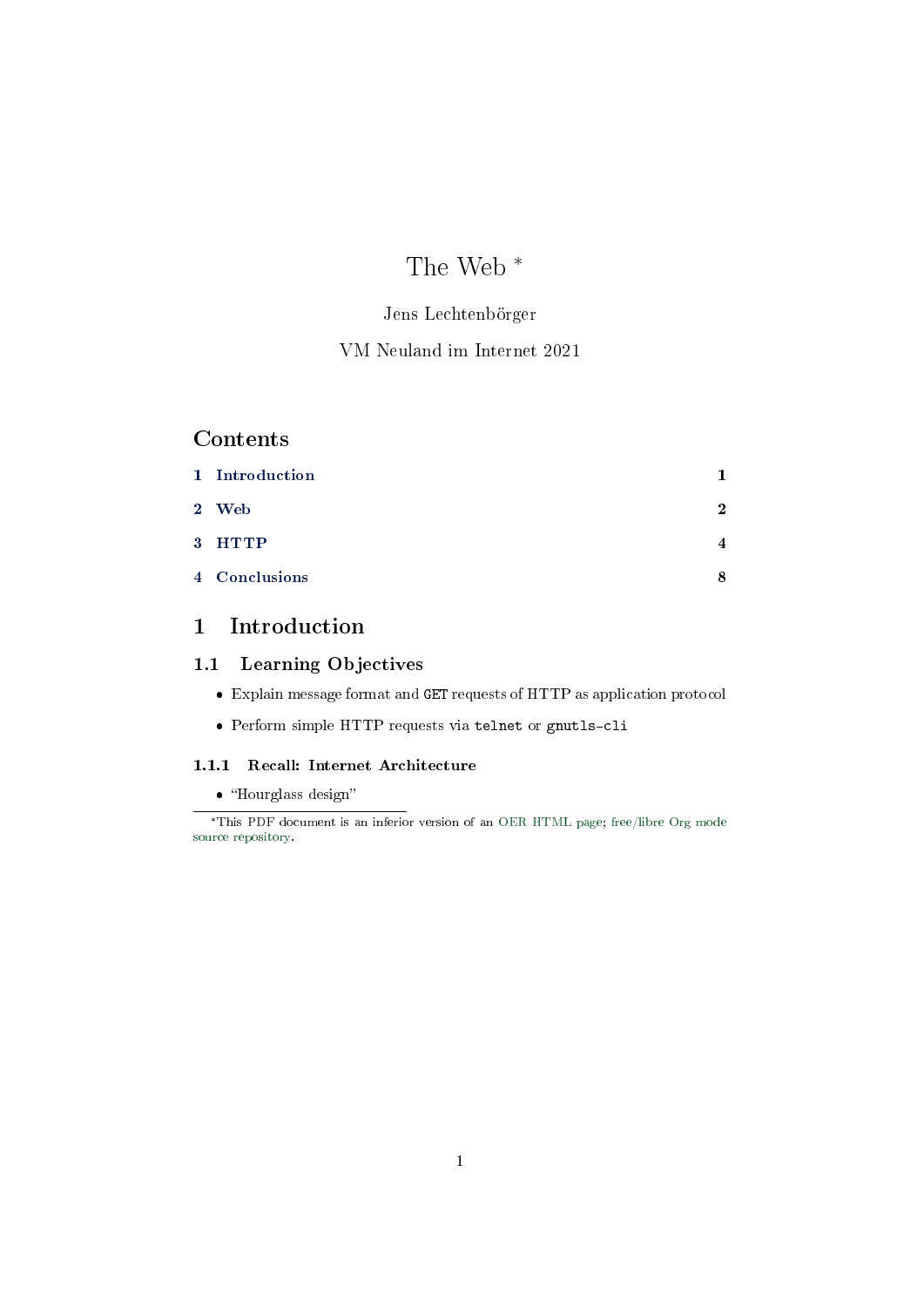# The Web \*

## Jens Lechtenbörger

## VM Neuland im Internet 2021

# **Contents**

| 1 Introduction |              |
|----------------|--------------|
| 2 Web          | $\mathbf{2}$ |
| 3 HTTP         | 4            |
| 4 Conclusions  | 8            |

# <span id="page-0-0"></span>1 Introduction

## 1.1 Learning Objectives

- Explain message format and GET requests of HTTP as application protocol
- Perform simple HTTP requests via telnet or gnutls-cli

## 1.1.1 Recall: Internet Architecture

## • "Hourglass design"

<sup>\*</sup>This PDF document is an inferior version of an [OER HTML page;](https://oer.gitlab.io/oer-courses/vm-neuland/Web.html) [free/libre Org mode](https://gitlab.com/oer/oer-courses/vm-neuland) [source repository.](https://gitlab.com/oer/oer-courses/vm-neuland)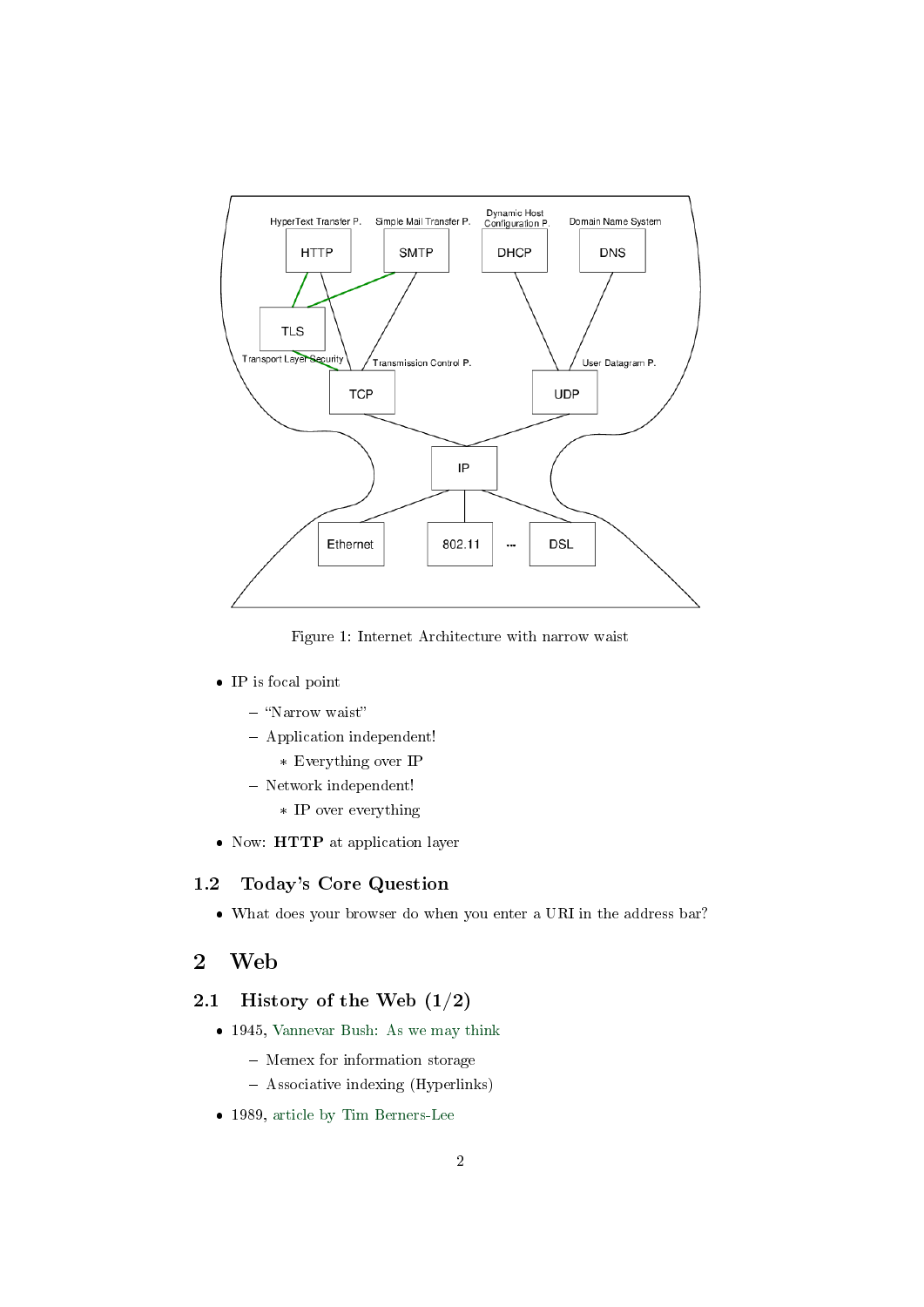

Figure 1: Internet Architecture with narrow waist

- IP is focal point
	- "Narrow waist"
	- Application independent!
		- \* Everything over IP
	- Network independent!
		- \* IP over everything
- Now: HTTP at application layer

### 1.2 Today's Core Question

What does your browser do when you enter a URI in the address bar?

## <span id="page-1-0"></span>2 Web

## 2.1 History of the Web  $(1/2)$

- 1945, [Vannevar Bush: As we may think](https://www.theatlantic.com/magazine/archive/1945/07/as-we-may-think/303881/)
	- Memex for information storage
	- Associative indexing (Hyperlinks)
- 1989, [article by Tim Berners-Lee](https://www.w3.org/History/1989/proposal.html)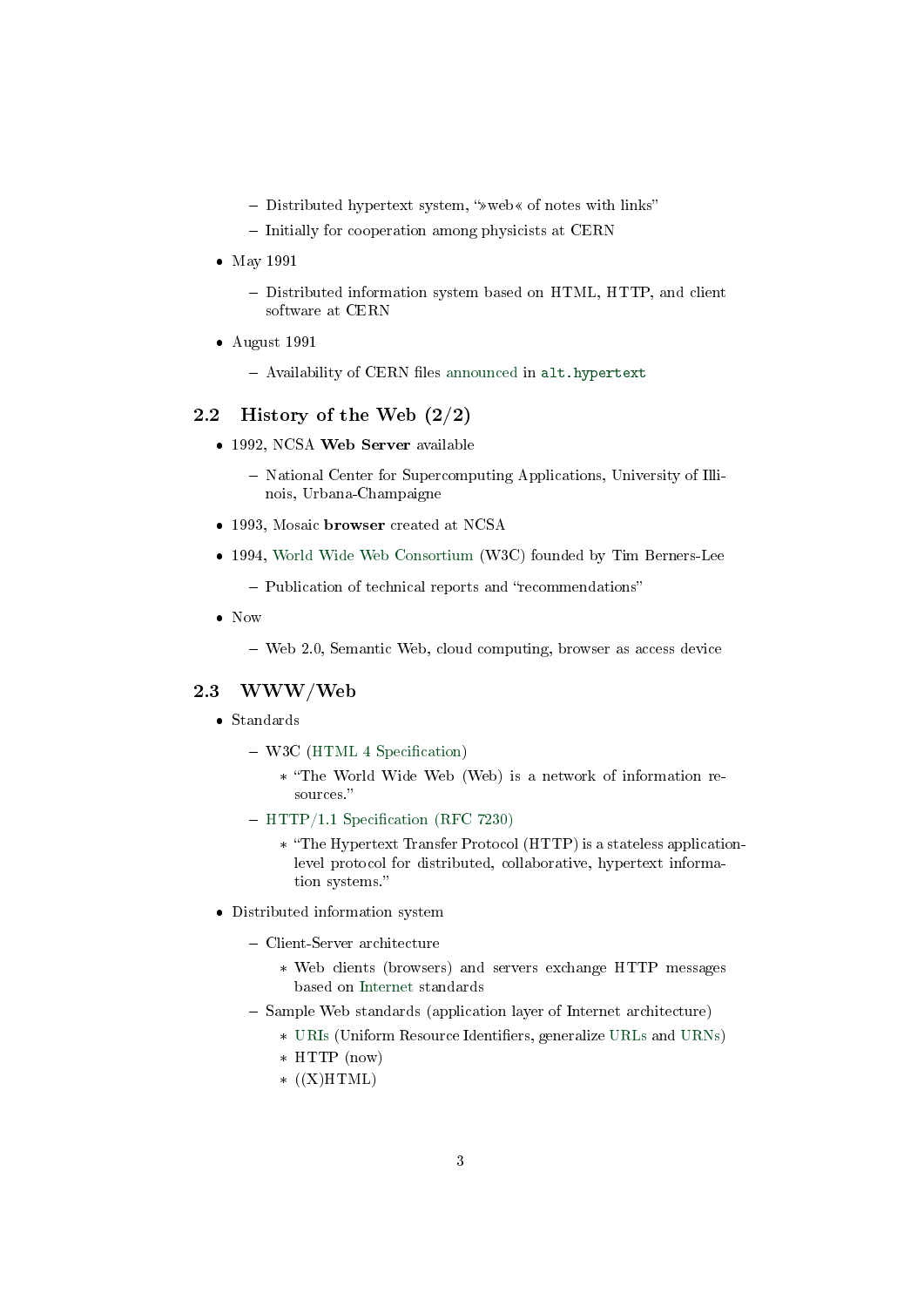- $-$  Distributed hypertext system, " $\ast$  web  $\ast$  of notes with links"
- Initially for cooperation among physicists at CERN
- May 1991
	- Distributed information system based on HTML, HTTP, and client software at CERN
- August 1991
	- Availability of CERN files [announced](https://www.w3.org/People/Berners-Lee/1991/08/art-6484.txt) in <alt.hypertext>

## 2.2 History of the Web (2/2)

- 1992, NCSA Web Server available
	- National Center for Supercomputing Applications, University of Illinois, Urbana-Champaigne
- 1993, Mosaic browser created at NCSA
- 1994, [World Wide Web Consortium](https://www.w3.org/) (W3C) founded by Tim Berners-Lee
	- Publication of technical reports and "recommendations"
- Now
	- Web 2.0, Semantic Web, cloud computing, browser as access device

## 2.3 WWW/Web

- Standards
	- $-$  W3C (HTML 4 Specification)
		- \* The World Wide Web (Web) is a network of information resources."
	- $-$  HTTP/1.1 Specification (RFC 7230)
		- \* The Hypertext Transfer Protocol (HTTP) is a stateless applicationlevel protocol for distributed, collaborative, hypertext information systems.
- Distributed information system
	- Client-Server architecture
		- \* Web clients (browsers) and servers exchange HTTP messages based on [Internet](https://oer.gitlab.io/oer-courses/cacs/Internet.html) standards
	- $-$  Sample Web standards (application layer of Internet architecture)
		- \* [URIs](https://oer.gitlab.io/oer-courses/vm-neuland/URIs.html) (Uniform Resource Identifiers, generalize [URLs](https://en.wikipedia.org/wiki/URL) and [URNs\)](https://en.wikipedia.org/wiki/Uniform_Resource_Name)
		- \* HTTP (now)
		- $*(X)HTML)$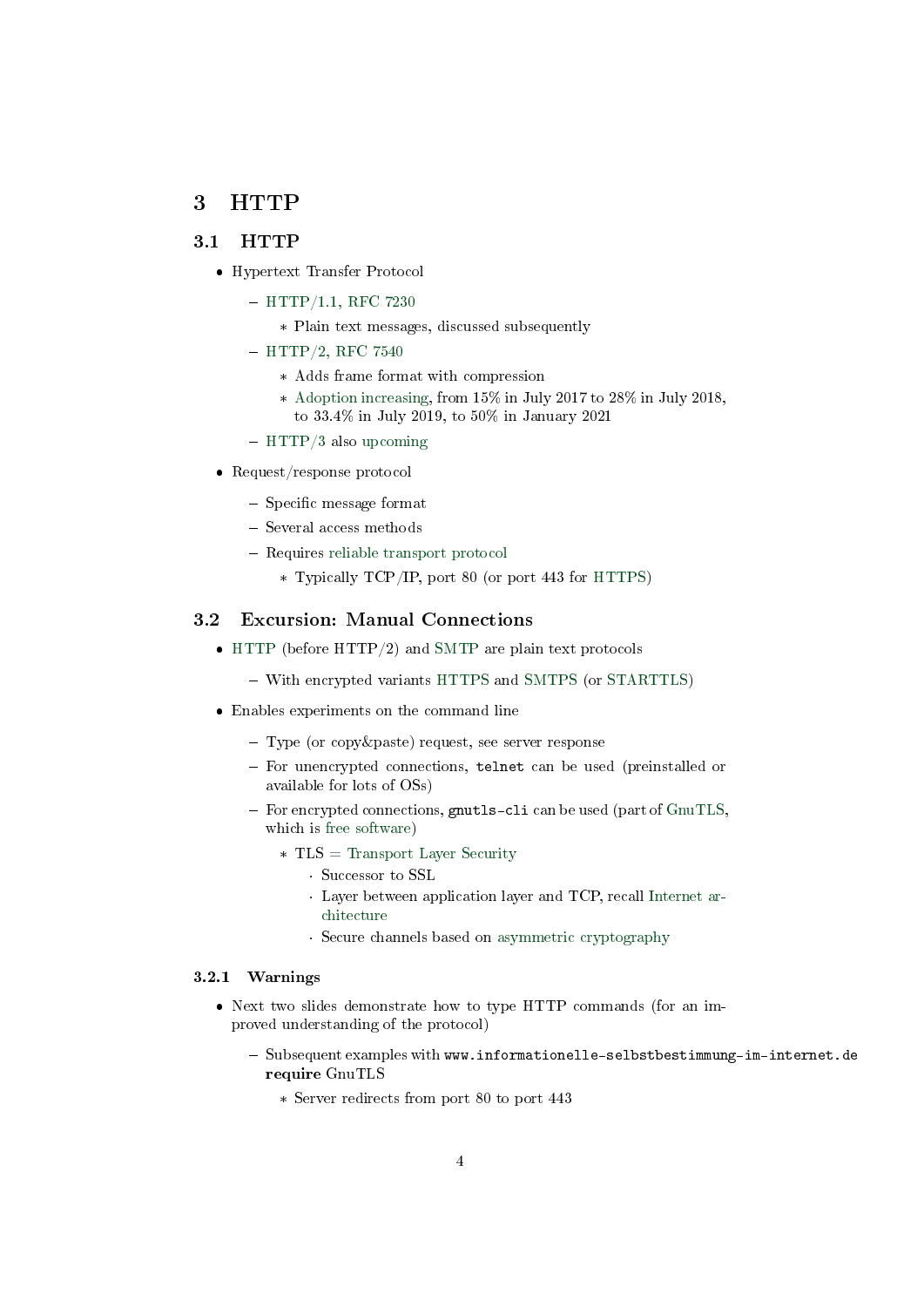## <span id="page-3-0"></span>3 HTTP

## 3.1 HTTP

- Hypertext Transfer Protocol
	- $-$  [HTTP/1.1, RFC 7230](https://tools.ietf.org/html/rfc7230)
		- \* Plain text messages, discussed subsequently
	- $-$  [HTTP/2, RFC 7540](https://tools.ietf.org/html/rfc7540)
		- \* Adds frame format with compression
		- \* [Adoption increasing,](https://w3techs.com/technologies/details/ce-http2) from 15% in July 2017 to 28% in July 2018, to 33.4% in July 2019, to 50% in January 2021
	- [HTTP/3](https://en.wikipedia.org/wiki/HTTP/3) also [upcoming](https://w3techs.com/technologies/details/ce-http3)
- Request/response protocol
	- $-$  Specific message format
	- Several access methods
	- Requires [reliable transport protocol](https://oer.gitlab.io/oer-courses/cacs/Internet.html#slide-ip-udp-tcp)
		- \* Typically TCP/IP, port 80 (or port 443 for [HTTPS\)](https://en.wikipedia.org/wiki/HTTPS)

## 3.2 Excursion: Manual Connections

- [HTTP](https://en.wikipedia.org/wiki/Hypertext_Transfer_Protocol) (before HTTP/2) and [SMTP](https://en.wikipedia.org/wiki/Simple_Mail_Transfer_Protocol) are plain text protocols
	- With encrypted variants [HTTPS](https://en.wikipedia.org/wiki/HTTPS) and [SMTPS](https://en.wikipedia.org/wiki/SMTPS) (or [STARTTLS\)](https://en.wikipedia.org/wiki/STARTTLS)
- Enables experiments on the command line
	- Type (or copy&paste) request, see server response
	- For unencrypted connections, telnet can be used (preinstalled or available for lots of OSs)
	- $-$  For encrypted connections, gnutls-cli can be used (part of  $G\text{nuTLS}$ , which is [free software\)](https://oer.gitlab.io/OS/Operating-Systems-Motivation.html#slide-free-software)
		- \* TLS = [Transport Layer Security](https://en.wikipedia.org/wiki/Transport_Layer_Security)
			- · Successor to SSL
			- · Layer between application layer and TCP, recall [Internet ar](https://oer.gitlab.io/oer-courses/cacs/Internet.html#slide-internet-architecture)[chitecture](https://oer.gitlab.io/oer-courses/cacs/Internet.html#slide-internet-architecture)
			- · Secure channels based on [asymmetric cryptography](https://oer.gitlab.io/OS/Operating-Systems-Security.html#slide-asym-intuition)

#### 3.2.1 Warnings

- Next two slides demonstrate how to type HTTP commands (for an improved understanding of the protocol)
	- Subsequent examples with www.informationelle-selbstbestimmung-im-internet.de require GnuTLS
		- \* Server redirects from port 80 to port 443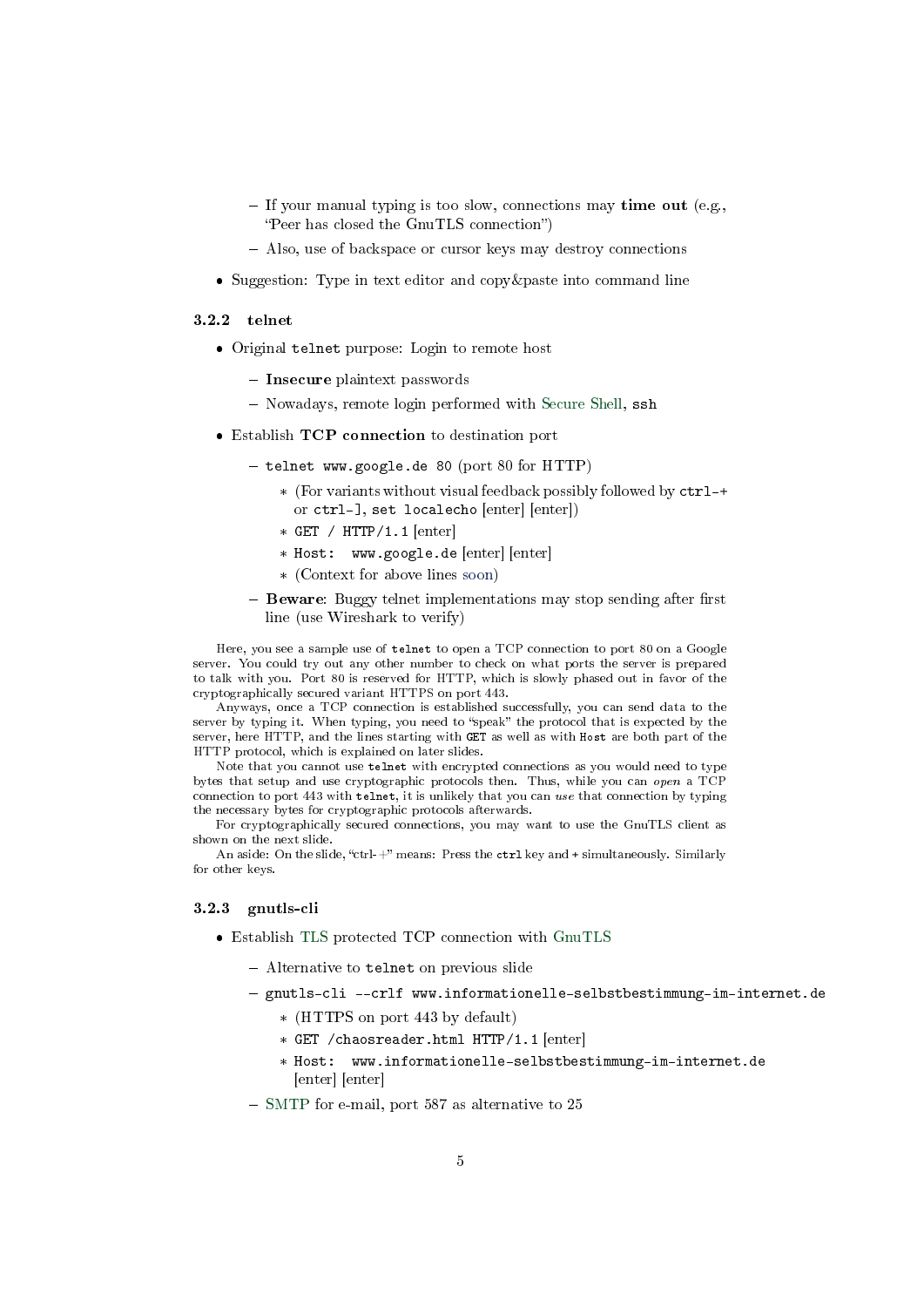- If your manual typing is too slow, connections may time out (e.g., "Peer has closed the GnuTLS connection")
- Also, use of backspace or cursor keys may destroy connections
- Suggestion: Type in text editor and copy & paste into command line

#### $3.2.2$  telnet

- Original telnet purpose: Login to remote host
	- Insecure plaintext passwords
	- Nowadays, remote login performed with [Secure Shell,](https://en.wikipedia.org/wiki/Secure_Shell) ssh
- Establish TCP connection to destination port
	- $-$  telnet www.google.de 80 (port 80 for HTTP)
		- \* (For variants without visual feedback possibly followed by ctrl-+ or ctrl-], set localecho [enter] [enter])
		- \* GET / HTTP/1.1 [enter]
		- \* Host: www.google.de [enter] [enter]
		- \* (Context for above lines [soon\)](#page-5-0)
	- $-$  Beware: Buggy telnet implementations may stop sending after first line (use Wireshark to verify)

Here, you see a sample use of telnet to open a TCP connection to port 80 on a Google server. You could try out any other number to check on what ports the server is prepared to talk with you. Port 80 is reserved for HTTP, which is slowly phased out in favor of the cryptographically secured variant HTTPS on port 443.

Anyways, once a TCP connection is established successfully, you can send data to the server by typing it. When typing, you need to "speak" the protocol that is expected by the server, here HTTP, and the lines starting with GET as well as with Host are both part of the HTTP protocol, which is explained on later slides.

Note that you cannot use telnet with encrypted connections as you would need to type bytes that setup and use cryptographic protocols then. Thus, while you can open a TCP connection to port 443 with telnet, it is unlikely that you can use that connection by typing the necessary bytes for cryptographic protocols afterwards.

For cryptographically secured connections, you may want to use the GnuTLS client as shown on the next slide.

An aside: On the slide, "ctrl-+" means: Press the  $ctrl key$  and + simultaneously. Similarly for other keys.

#### 3.2.3 gnutls-cli

- Establish [TLS](https://en.wikipedia.org/wiki/Transport_Layer_Security) protected TCP connection with [GnuTLS](https://www.gnutls.org/)
	- Alternative to telnet on previous slide
	- gnutls-cli --crlf www.informationelle-selbstbestimmung-im-internet.de
		- \* (HTTPS on port 443 by default)
		- \* GET /chaosreader.html HTTP/1.1 [enter]
		- \* Host: www.informationelle-selbstbestimmung-im-internet.de [enter] [enter]
	- [SMTP](https://oer.gitlab.io/oer-courses/cacs/Web-and-E-Mail.html#slide-smtp) for e-mail, port 587 as alternative to 25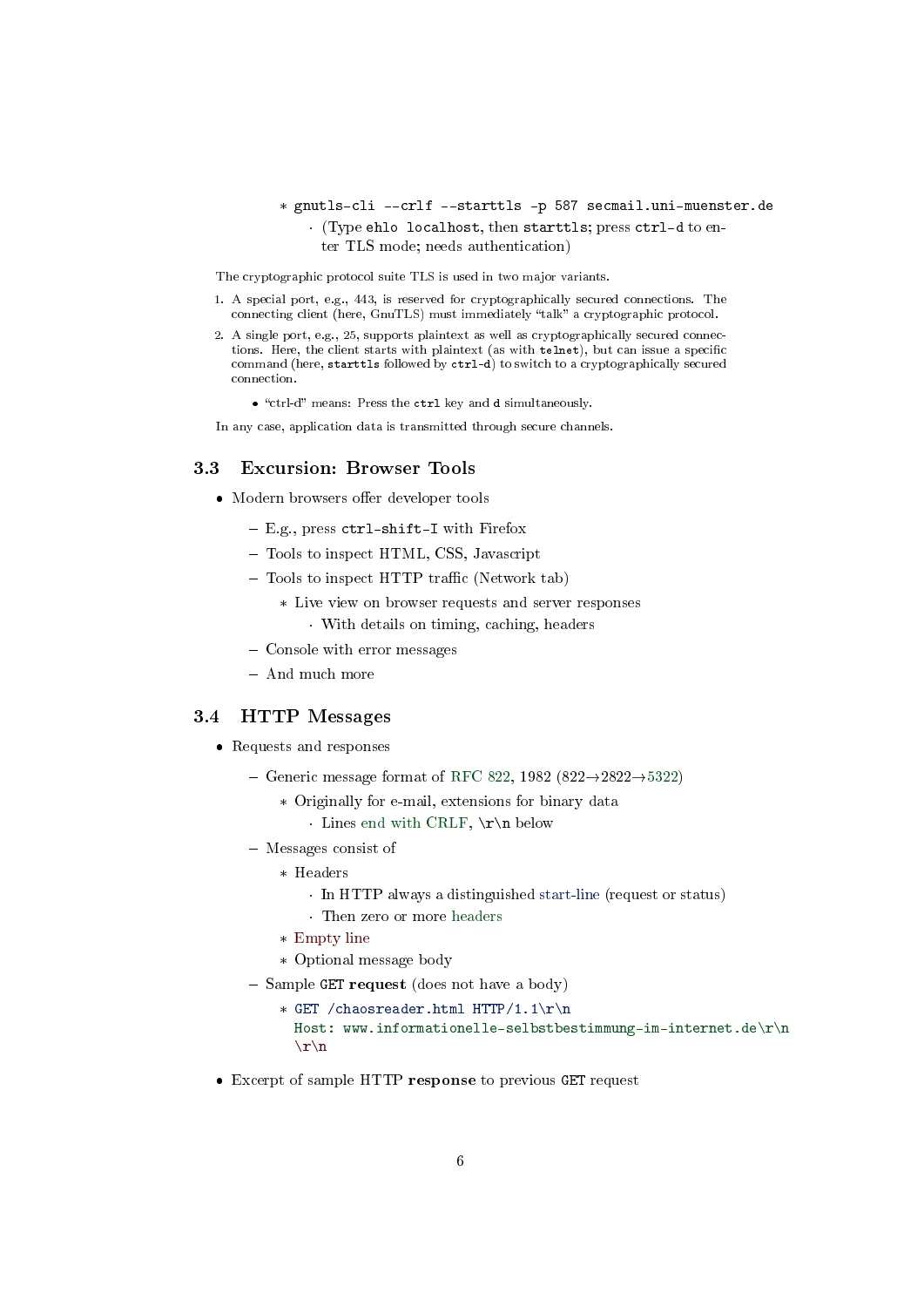## \* gnutls-cli --crlf --starttls -p 587 secmail.uni-muenster.de · (Type ehlo localhost, then starttls; press ctrl-d to enter TLS mode; needs authentication)

The cryptographic protocol suite TLS is used in two major variants.

- 1. A special port, e.g., 443, is reserved for cryptographically secured connections. The connecting client (here, GnuTLS) must immediately "talk" a cryptographic protocol.
- 2. A single port, e.g., 25, supports plaintext as well as cryptographically secured connections. Here, the client starts with plaintext (as with telnet), but can issue a specific command (here, starttls followed by ctrl-d) to switch to a cryptographically secured connection.
	- "ctrl-d" means: Press the ctrl key and d simultaneously.

In any case, application data is transmitted through secure channels.

## 3.3 Excursion: Browser Tools

- $\bullet$  Modern browsers offer developer tools
	- E.g., press ctrl-shift-I with Firefox
	- Tools to inspect HTML, CSS, Javascript
	- $-$  Tools to inspect HTTP traffic (Network tab)
		- \* Live view on browser requests and server responses · With details on timing, caching, headers
	- Console with error messages
	- And much more

### <span id="page-5-0"></span>3.4 HTTP Messages

- Requests and responses
	- Generic message format of [RFC 822,](https://tools.ietf.org/html/rfc822) 1982 (822 $\rightarrow$ 2822 $\rightarrow$ [5322\)](https://tools.ietf.org/html/rfc5322)
		- \* Originally for e-mail, extensions for binary data
			- · Lines [end with CRLF,](https://en.wikipedia.org/wiki/Newline)  $\r \n \in \mathbb{R}$
	- Messages consist of
		- \* Headers
			- · In HTTP always a distinguished start-line (request or status)
			- · Then zero or more headers
		- \* Empty line
		- \* Optional message body
	- $-$  Sample GET request (does not have a body)
		- \* GET /chaosreader.html HTTP/1.1\r\n Host: www.informationelle-selbstbestimmung-im-internet.de\r\n  $\r \n\ln$
- Excerpt of sample HTTP response to previous GET request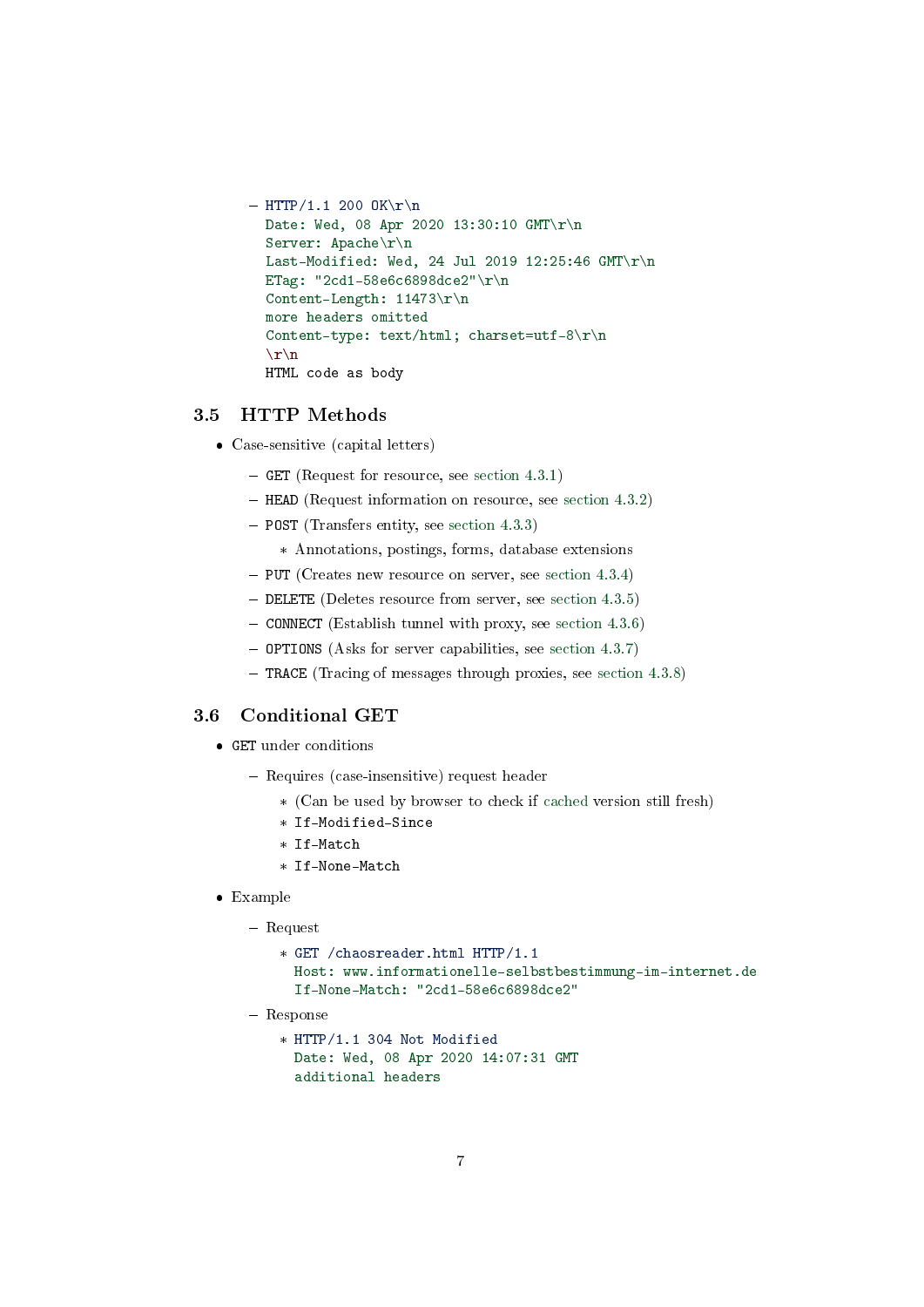```
- HTTP/1.1 200 OK\r\n
Date: Wed, 08 Apr 2020 13:30:10 GMT\r\n
Server: Apache\r\n
Last-Modified: Wed, 24 Jul 2019 12:25:46 GMT\r\n
ETag: "2cd1-58e6c6898dce2"\r\n
Content-Length: 11473\r\n
more headers omitted
Content-type: text/html; charset=utf-8\r\n
 \langle r \ranglen
HTML code as body
```
#### 3.5 HTTP Methods

- Case-sensitive (capital letters)
	- GET (Request for resource, see [section 4.3.1\)](https://tools.ietf.org/html/rfc7231#section-4.3.1)
	- HEAD (Request information on resource, see [section 4.3.2\)](https://tools.ietf.org/html/rfc7231#section-4.3.2)
	- POST (Transfers entity, see [section 4.3.3\)](https://tools.ietf.org/html/rfc7231#section-4.3.3)
		- \* Annotations, postings, forms, database extensions
	- $-$  PUT (Creates new resource on server, see [section 4.3.4\)](https://tools.ietf.org/html/rfc7231#section-4.3.4)
	- DELETE (Deletes resource from server, see [section 4.3.5\)](https://tools.ietf.org/html/rfc7231#section-4.3.5)
	- $-$  CONNECT (Establish tunnel with proxy, see [section 4.3.6\)](https://tools.ietf.org/html/rfc7231#section-4.3.6)
	- OPTIONS (Asks for server capabilities, see [section 4.3.7\)](https://tools.ietf.org/html/rfc7231#section-4.3.7)
	- TRACE (Tracing of messages through proxies, see [section 4.3.8\)](https://tools.ietf.org/html/rfc7231#section-4.3.8)

#### <span id="page-6-0"></span>3.6 Conditional GET

- GET under conditions
	- Requires (case-insensitive) request header
		- \* (Can be used by browser to check if [cached](https://oer.gitlab.io/oer-courses/cacs/Web-and-E-Mail.html#slide-http-caching) version still fresh)
		- \* If-Modified-Since
		- \* If-Match
		- \* If-None-Match
- Example
	- Request
		- \* GET /chaosreader.html HTTP/1.1 Host: www.informationelle-selbstbestimmung-im-internet.de If-None-Match: "2cd1-58e6c6898dce2"
	- Response
		- \* HTTP/1.1 304 Not Modified Date: Wed, 08 Apr 2020 14:07:31 GMT additional headers